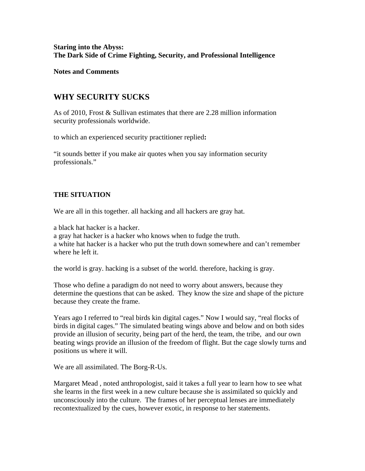# **Staring into the Abyss: The Dark Side of Crime Fighting, Security, and Professional Intelligence**

**Notes and Comments**

# **WHY SECURITY SUCKS**

As of 2010, Frost & Sullivan estimates that there are 2.28 million information security professionals worldwide.

to which an experienced security practitioner replied**:**

"it sounds better if you make air quotes when you say information security professionals."

# **THE SITUATION**

We are all in this together. all hacking and all hackers are gray hat.

a black hat hacker is a hacker.

a gray hat hacker is a hacker who knows when to fudge the truth. a white hat hacker is a hacker who put the truth down somewhere and can't remember where he left it.

the world is gray. hacking is a subset of the world. therefore, hacking is gray.

Those who define a paradigm do not need to worry about answers, because they determine the questions that can be asked. They know the size and shape of the picture because they create the frame.

Years ago I referred to "real birds kin digital cages." Now I would say, "real flocks of birds in digital cages." The simulated beating wings above and below and on both sides provide an illusion of security, being part of the herd, the team, the tribe, and our own beating wings provide an illusion of the freedom of flight. But the cage slowly turns and positions us where it will.

We are all assimilated. The Borg-R-Us.

Margaret Mead , noted anthropologist, said it takes a full year to learn how to see what she learns in the first week in a new culture because she is assimilated so quickly and unconsciously into the culture. The frames of her perceptual lenses are immediately recontextualized by the cues, however exotic, in response to her statements.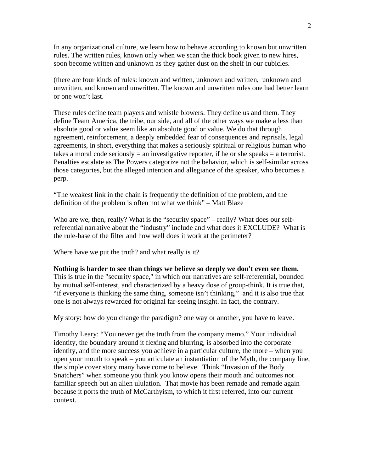In any organizational culture, we learn how to behave according to known but unwritten rules. The written rules, known only when we scan the thick book given to new hires, soon become written and unknown as they gather dust on the shelf in our cubicles.

(there are four kinds of rules: known and written, unknown and written, unknown and unwritten, and known and unwritten. The known and unwritten rules one had better learn or one won't last.

These rules define team players and whistle blowers. They define us and them. They define Team America, the tribe, our side, and all of the other ways we make a less than absolute good or value seem like an absolute good or value. We do that through agreement, reinforcement, a deeply embedded fear of consequences and reprisals, legal agreements, in short, everything that makes a seriously spiritual or religious human who takes a moral code seriously  $=$  an investigative reporter, if he or she speaks  $=$  a terrorist. Penalties escalate as The Powers categorize not the behavior, which is self-similar across those categories, but the alleged intention and allegiance of the speaker, who becomes a perp.

"The weakest link in the chain is frequently the definition of the problem, and the definition of the problem is often not what we think" – Matt Blaze

Who are we, then, really? What is the "security space" – really? What does our selfreferential narrative about the "industry" include and what does it EXCLUDE? What is the rule-base of the filter and how well does it work at the perimeter?

Where have we put the truth? and what really is it?

#### **Nothing is harder to see than things we believe so deeply we don't even see them.**

This is true in the "security space," in which our narratives are self-referential, bounded by mutual self-interest, and characterized by a heavy dose of group-think. It is true that, "if everyone is thinking the same thing, someone isn't thinking," and it is also true that one is not always rewarded for original far-seeing insight. In fact, the contrary.

My story: how do you change the paradigm? one way or another, you have to leave.

Timothy Leary: "You never get the truth from the company memo." Your individual identity, the boundary around it flexing and blurring, is absorbed into the corporate identity, and the more success you achieve in a particular culture, the more – when you open your mouth to speak – you articulate an instantiation of the Myth, the company line, the simple cover story many have come to believe. Think "Invasion of the Body Snatchers" when someone you think you know opens their mouth and outcomes not familiar speech but an alien ululation. That movie has been remade and remade again because it ports the truth of McCarthyism, to which it first referred, into our current context.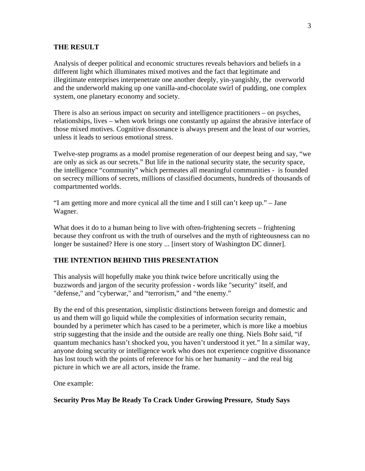#### **THE RESULT**

Analysis of deeper political and economic structures reveals behaviors and beliefs in a different light which illuminates mixed motives and the fact that legitimate and illegitimate enterprises interpenetrate one another deeply, yin-yangishly, the overworld and the underworld making up one vanilla-and-chocolate swirl of pudding, one complex system, one planetary economy and society.

There is also an serious impact on security and intelligence practitioners – on psyches, relationships, lives – when work brings one constantly up against the abrasive interface of those mixed motives. Cognitive dissonance is always present and the least of our worries, unless it leads to serious emotional stress.

Twelve-step programs as a model promise regeneration of our deepest being and say, "we are only as sick as our secrets." But life in the national security state, the security space, the intelligence "community" which permeates all meaningful communities - is founded on secrecy millions of secrets, millions of classified documents, hundreds of thousands of compartmented worlds.

"I am getting more and more cynical all the time and I still can't keep up." – Jane Wagner.

What does it do to a human being to live with often-frightening secrets – frightening because they confront us with the truth of ourselves and the myth of righteousness can no longer be sustained? Here is one story ... [insert story of Washington DC dinner].

#### **THE INTENTION BEHIND THIS PRESENTATION**

This analysis will hopefully make you think twice before uncritically using the buzzwords and jargon of the security profession - words like "security" itself, and "defense," and "cyberwar," and "terrorism," and "the enemy."

By the end of this presentation, simplistic distinctions between foreign and domestic and us and them will go liquid while the complexities of information security remain, bounded by a perimeter which has cased to be a perimeter, which is more like a moebius strip suggesting that the inside and the outside are really one thing. Niels Bohr said, "if quantum mechanics hasn't shocked you, you haven't understood it yet." In a similar way, anyone doing security or intelligence work who does not experience cognitive dissonance has lost touch with the points of reference for his or her humanity – and the real big picture in which we are all actors, inside the frame.

One example:

**Security Pros May Be Ready To Crack Under Growing Pressure, Study Says**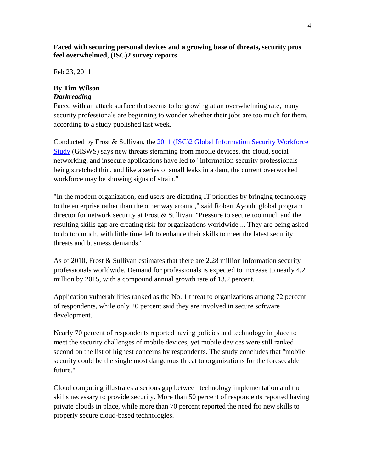## **Faced with securing personal devices and a growing base of threats, security pros feel overwhelmed, (ISC)2 survey reports**

Feb 23, 2011

# **By Tim Wilson** *Darkreading*

Faced with an attack surface that seems to be growing at an overwhelming rate, many security professionals are beginning to wonder whether their jobs are too much for them, according to a study published last week.

Conducted by Frost & Sullivan, the [2011 \(ISC\)2 Global Information Security Workforce](https://www.isc2.org/workforcestudy/Default.aspx)  [Study](https://www.isc2.org/workforcestudy/Default.aspx) (GISWS) says new threats stemming from mobile devices, the cloud, social networking, and insecure applications have led to "information security professionals being stretched thin, and like a series of small leaks in a dam, the current overworked workforce may be showing signs of strain."

"In the modern organization, end users are dictating IT priorities by bringing technology to the enterprise rather than the other way around," said Robert Ayoub, global program director for network security at Frost & Sullivan. "Pressure to secure too much and the resulting skills gap are creating risk for organizations worldwide ... They are being asked to do too much, with little time left to enhance their skills to meet the latest security threats and business demands."

As of 2010, Frost & Sullivan estimates that there are 2.28 million information security professionals worldwide. Demand for professionals is expected to increase to nearly 4.2 million by 2015, with a compound annual growth rate of 13.2 percent.

Application vulnerabilities ranked as the No. 1 threat to organizations among 72 percent of respondents, while only 20 percent said they are involved in secure software development.

Nearly 70 percent of respondents reported having policies and technology in place to meet the security challenges of mobile devices, yet mobile devices were still ranked second on the list of highest concerns by respondents. The study concludes that "mobile security could be the single most dangerous threat to organizations for the foreseeable future."

Cloud computing illustrates a serious gap between technology implementation and the skills necessary to provide security. More than 50 percent of respondents reported having private clouds in place, while more than 70 percent reported the need for new skills to properly secure cloud-based technologies.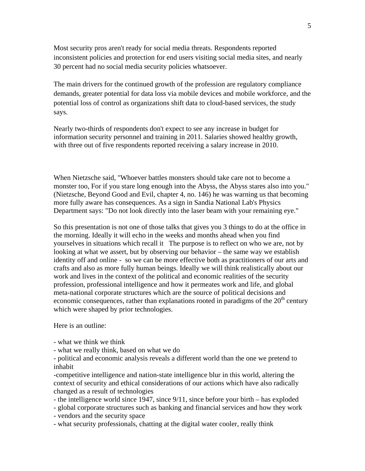Most security pros aren't ready for social media threats. Respondents reported inconsistent policies and protection for end users visiting social media sites, and nearly 30 percent had no social media security policies whatsoever.

The main drivers for the continued growth of the profession are regulatory compliance demands, greater potential for data loss via mobile devices and mobile workforce, and the potential loss of control as organizations shift data to cloud-based services, the study says.

Nearly two-thirds of respondents don't expect to see any increase in budget for information security personnel and training in 2011. Salaries showed healthy growth, with three out of five respondents reported receiving a salary increase in 2010.

When Nietzsche said, "Whoever battles monsters should take care not to become a monster too, For if you stare long enough into the Abyss, the Abyss stares also into you." (Nietzsche, Beyond Good and Evil, chapter 4, no. 146) he was warning us that becoming more fully aware has consequences. As a sign in Sandia National Lab's Physics Department says: "Do not look directly into the laser beam with your remaining eye."

So this presentation is not one of those talks that gives you 3 things to do at the office in the morning. Ideally it will echo in the weeks and months ahead when you find yourselves in situations which recall it The purpose is to reflect on who we are, not by looking at what we assert, but by observing our behavior – the same way we establish identity off and online - so we can be more effective both as practitioners of our arts and crafts and also as more fully human beings. Ideally we will think realistically about our work and lives in the context of the political and economic realities of the security profession, professional intelligence and how it permeates work and life, and global meta-national corporate structures which are the source of political decisions and economic consequences, rather than explanations rooted in paradigms of the  $20<sup>th</sup>$  century which were shaped by prior technologies.

Here is an outline:

- what we think we think
- what we really think, based on what we do

- political and economic analysis reveals a different world than the one we pretend to inhabit

-competitive intelligence and nation-state intelligence blur in this world, altering the context of security and ethical considerations of our actions which have also radically changed as a result of technologies

- the intelligence world since 1947, since 9/11, since before your birth – has exploded

- global corporate structures such as banking and financial services and how they work - vendors and the security space

- what security professionals, chatting at the digital water cooler, really think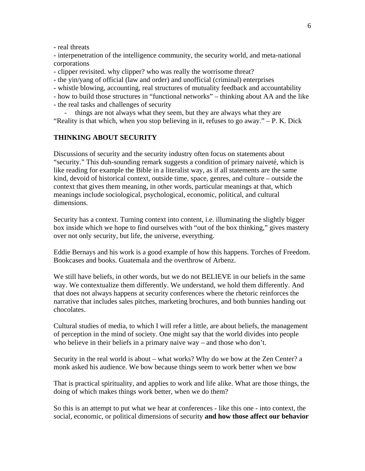- real threats

- interpenetration of the intelligence community, the security world, and meta-national corporations

- clipper revisited. why clipper? who was really the worrisome threat?

- the yin/yang of official (law and order) and unofficial (criminal) enterprises

- whistle blowing, accounting, real structures of mutuality feedback and accountability

- how to build those structures in "functional networks" – thinking about AA and the like

- the real tasks and challenges of security

things are not always what they seem, but they are always what they are "Reality is that which, when you stop believing in it, refuses to go away."  $- P$ . K. Dick

## **THINKING ABOUT SECURITY**

Discussions of security and the security industry often focus on statements about "security." This duh-sounding remark suggests a condition of primary naiveté, which is like reading for example the Bible in a literalist way, as if all statements are the same kind, devoid of historical context, outside time, space, genres, and culture – outside the context that gives them meaning, in other words, particular meanings at that, which meanings include sociological, psychological, economic, political, and cultural dimensions.

Security has a context. Turning context into content, i.e. illuminating the slightly bigger box inside which we hope to find ourselves with "out of the box thinking," gives mastery over not only security, but life, the universe, everything.

Eddie Bernays and his work is a good example of how this happens. Torches of Freedom. Bookcases and books. Guatemala and the overthrow of Arbenz.

We still have beliefs, in other words, but we do not BELIEVE in our beliefs in the same way. We contextualize them differently. We understand, we hold them differently. And that does not always happens at security conferences where the rhetoric reinforces the narrative that includes sales pitches, marketing brochures, and both bunnies handing out chocolates.

Cultural studies of media, to which I will refer a little, are about beliefs, the management of perception in the mind of society. One might say that the world divides into people who believe in their beliefs in a primary naive way – and those who don't.

Security in the real world is about – what works? Why do we bow at the Zen Center? a monk asked his audience. We bow because things seem to work better when we bow

That is practical spirituality, and applies to work and life alike. What are those things, the doing of which makes things work better, when we do them?

So this is an attempt to put what we hear at conferences - like this one - into context, the social, economic, or political dimensions of security **and how those affect our behavior**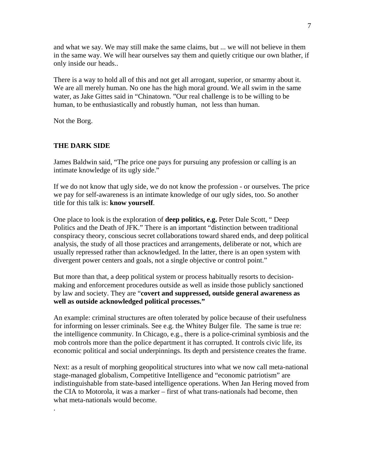and what we say. We may still make the same claims, but ... we will not believe in them in the same way. We will hear ourselves say them and quietly critique our own blather, if only inside our heads..

There is a way to hold all of this and not get all arrogant, superior, or smarmy about it. We are all merely human. No one has the high moral ground. We all swim in the same water, as Jake Gittes said in "Chinatown. "Our real challenge is to be willing to be human, to be enthusiastically and robustly human, not less than human.

Not the Borg.

.

# **THE DARK SIDE**

James Baldwin said, "The price one pays for pursuing any profession or calling is an intimate knowledge of its ugly side."

If we do not know that ugly side, we do not know the profession - or ourselves. The price we pay for self-awareness is an intimate knowledge of our ugly sides, too. So another title for this talk is: **know yourself**.

One place to look is the exploration of **deep politics, e.g.** Peter Dale Scott, " Deep Politics and the Death of JFK." There is an important "distinction between traditional conspiracy theory, conscious secret collaborations toward shared ends, and deep political analysis, the study of all those practices and arrangements, deliberate or not, which are usually repressed rather than acknowledged. In the latter, there is an open system with divergent power centers and goals, not a single objective or control point."

But more than that, a deep political system or process habitually resorts to decisionmaking and enforcement procedures outside as well as inside those publicly sanctioned by law and society. They are "**covert and suppressed, outside general awareness as well as outside acknowledged political processes."**

An example: criminal structures are often tolerated by police because of their usefulness for informing on lesser criminals. See e.g. the Whitey Bulger file. The same is true re: the intelligence community. In Chicago, e.g., there is a police-criminal symbiosis and the mob controls more than the police department it has corrupted. It controls civic life, its economic political and social underpinnings. Its depth and persistence creates the frame.

Next: as a result of morphing geopolitical structures into what we now call meta-national stage-managed globalism, Competitive Intelligence and "economic patriotism" are indistinguishable from state-based intelligence operations. When Jan Hering moved from the CIA to Motorola, it was a marker – first of what trans-nationals had become, then what meta-nationals would become.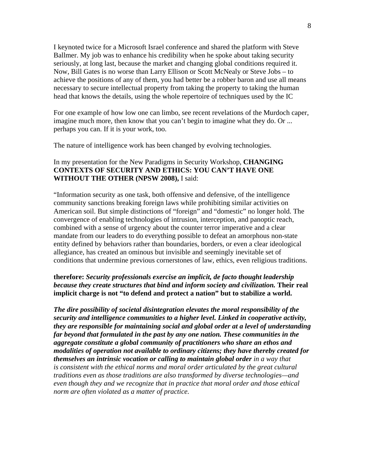I keynoted twice for a Microsoft Israel conference and shared the platform with Steve Ballmer. My job was to enhance his credibility when he spoke about taking security seriously, at long last, because the market and changing global conditions required it. Now, Bill Gates is no worse than Larry Ellison or Scott McNealy or Steve Jobs – to achieve the positions of any of them, you had better be a robber baron and use all means necessary to secure intellectual property from taking the property to taking the human head that knows the details, using the whole repertoire of techniques used by the IC

For one example of how low one can limbo, see recent revelations of the Murdoch caper, imagine much more, then know that you can't begin to imagine what they do. Or ... perhaps you can. If it is your work, too.

The nature of intelligence work has been changed by evolving technologies.

# In my presentation for the New Paradigms in Security Workshop, **CHANGING CONTEXTS OF SECURITY AND ETHICS: YOU CAN'T HAVE ONE WITHOUT THE OTHER (NPSW 2008),** I said:

"Information security as one task, both offensive and defensive, of the intelligence community sanctions breaking foreign laws while prohibiting similar activities on American soil. But simple distinctions of "foreign" and "domestic" no longer hold. The convergence of enabling technologies of intrusion, interception, and panoptic reach, combined with a sense of urgency about the counter terror imperative and a clear mandate from our leaders to do everything possible to defeat an amorphous non-state entity defined by behaviors rather than boundaries, borders, or even a clear ideological allegiance, has created an ominous but invisible and seemingly inevitable set of conditions that undermine previous cornerstones of law, ethics, even religious traditions.

# **therefore:** *Security professionals exercise an implicit, de facto thought leadership because they create structures that bind and inform society and civilization.* **Their real implicit charge is not "to defend and protect a nation" but to stabilize a world.**

*The dire possibility of societal disintegration elevates the moral responsibility of the security and intelligence communities to a higher level. Linked in cooperative activity, they are responsible for maintaining social and global order at a level of understanding far beyond that formulated in the past by any one nation. These communities in the aggregate constitute a global community of practitioners who share an ethos and modalities of operation not available to ordinary citizens; they have thereby created for themselves an intrinsic vocation or calling to maintain global order in a way that is consistent with the ethical norms and moral order articulated by the great cultural traditions even as those traditions are also transformed by diverse technologies—and even though they and we recognize that in practice that moral order and those ethical norm are often violated as a matter of practice.*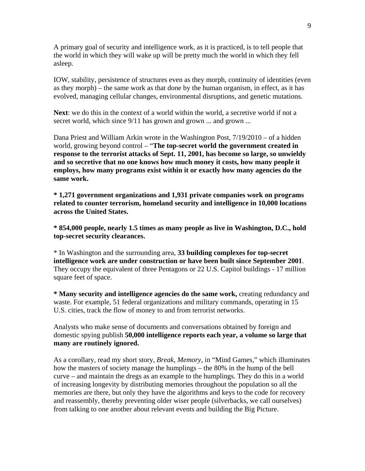A primary goal of security and intelligence work, as it is practiced, is to tell people that the world in which they will wake up will be pretty much the world in which they fell asleep.

IOW, stability, persistence of structures even as they morph, continuity of identities (even as they morph) – the same work as that done by the human organism, in effect, as it has evolved, managing cellular changes, environmental disruptions, and genetic mutations.

**Next**: we do this in the context of a world within the world, a secretive world if not a secret world, which since  $9/11$  has grown and grown ... and grown ...

Dana Priest and William Arkin wrote in the Washington Post, 7/19/2010 – of a hidden world, growing beyond control – "**The top-secret world the government created in response to the terrorist attacks of Sept. 11, 2001, has become so large, so unwieldy and so secretive that no one knows how much money it costs, how many people it employs, how many programs exist within it or exactly how many agencies do the same work.**

**\* 1,271 government organizations and 1,931 private companies work on programs related to counter terrorism, homeland security and intelligence in 10,000 locations across the United States.**

**\* 854,000 people, nearly 1.5 times as many people as live in Washington, D.C., hold top-secret security clearances.**

\* In Washington and the surrounding area, **33 building complexes for top-secret intelligence work are under construction or have been built since September 2001**. They occupy the equivalent of three Pentagons or 22 U.S. Capitol buildings - 17 million square feet of space.

**\* Many security and intelligence agencies do the same work,** creating redundancy and waste. For example, 51 federal organizations and military commands, operating in 15 U.S. cities, track the flow of money to and from terrorist networks.

Analysts who make sense of documents and conversations obtained by foreign and domestic spying publish **50,000 intelligence reports each year, a volume so large that many are routinely ignored.**

As a corollary, read my short story, *Break, Memory*, in "Mind Games," which illuminates how the masters of society manage the humplings – the 80% in the hump of the bell curve – and maintain the dregs as an example to the humplings. They do this in a world of increasing longevity by distributing memories throughout the population so all the memories are there, but only they have the algorithms and keys to the code for recovery and reassembly, thereby preventing older wiser people (silverbacks, we call ourselves) from talking to one another about relevant events and building the Big Picture.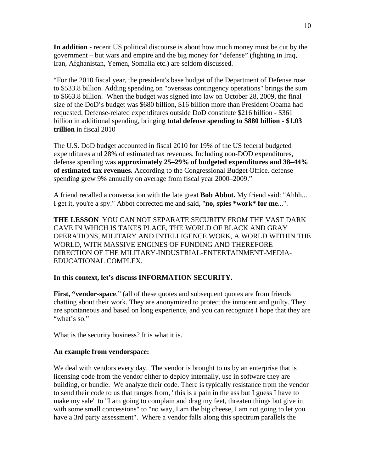**In addition** - recent US political discourse is about how much money must be cut by the government – but wars and empire and the big money for "defense" (fighting in Iraq, Iran, Afghanistan, Yemen, Somalia etc.) are seldom discussed.

"For the 2010 fiscal year, the president's base budget of the Department of Defense rose to \$533.8 billion. Adding spending on "overseas contingency operations" brings the sum to \$663.8 billion. When the budget was signed into law on October 28, 2009, the final size of the DoD's budget was \$680 billion, \$16 billion more than President Obama had requested. Defense-related expenditures outside DoD constitute \$216 billion - \$361 billion in additional spending, bringing **total defense spending to \$880 billion - \$1.03 trillion** in fiscal 2010

The U.S. DoD budget accounted in fiscal 2010 for 19% of the US federal budgeted expenditures and 28% of estimated tax revenues. Including non-DOD expenditures, defense spending was **approximately 25–29% of budgeted expenditures and 38–44% of estimated tax revenues.** According to the Congressional Budget Office. defense spending grew 9% annually on average from fiscal year 2000–2009."

A friend recalled a conversation with the late great **Bob Abbot.** My friend said: "Ahhh... I get it, you're a spy." Abbot corrected me and said, "**no, spies \*work\* for me**...".

**THE LESSON** YOU CAN NOT SEPARATE SECURITY FROM THE VAST DARK CAVE IN WHICH IS TAKES PLACE, THE WORLD OF BLACK AND GRAY OPERATIONS, MILITARY AND INTELLIGENCE WORK, A WORLD WITHIN THE WORLD, WITH MASSIVE ENGINES OF FUNDING AND THEREFORE DIRECTION OF THE MILITARY-INDUSTRIAL-ENTERTAINMENT-MEDIA-EDUCATIONAL COMPLEX.

#### **In this context, let's discuss INFORMATION SECURITY.**

**First, "vendor-space.**" (all of these quotes and subsequent quotes are from friends chatting about their work. They are anonymized to protect the innocent and guilty. They are spontaneous and based on long experience, and you can recognize I hope that they are "what's so."

What is the security business? It is what it is.

#### **An example from vendorspace:**

We deal with vendors every day. The vendor is brought to us by an enterprise that is licensing code from the vendor either to deploy internally, use in software they are building, or bundle. We analyze their code. There is typically resistance from the vendor to send their code to us that ranges from, "this is a pain in the ass but I guess I have to make my sale" to "I am going to complain and drag my feet, threaten things but give in with some small concessions" to "no way, I am the big cheese, I am not going to let you have a 3rd party assessment". Where a vendor falls along this spectrum parallels the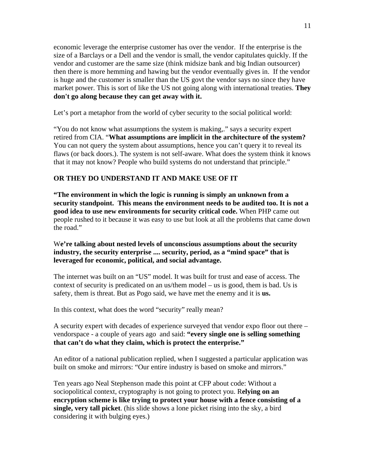economic leverage the enterprise customer has over the vendor. If the enterprise is the size of a Barclays or a Dell and the vendor is small, the vendor capitulates quickly. If the vendor and customer are the same size (think midsize bank and big Indian outsourcer) then there is more hemming and hawing but the vendor eventually gives in. If the vendor is huge and the customer is smaller than the US govt the vendor says no since they have market power. This is sort of like the US not going along with international treaties. **They don't go along because they can get away with it.**

Let's port a metaphor from the world of cyber security to the social political world:

"You do not know what assumptions the system is making,." says a security expert retired from CIA. "**What assumptions are implicit in the architecture of the system?**  You can not query the system about assumptions, hence you can't query it to reveal its flaws (or back doors.). The system is not self-aware. What does the system think it knows that it may not know? People who build systems do not understand that principle."

# **OR THEY DO UNDERSTAND IT AND MAKE USE OF IT**

**"The environment in which the logic is running is simply an unknown from a security standpoint. This means the environment needs to be audited too. It is not a good idea to use new environments for security critical code.** When PHP came out people rushed to it because it was easy to use but look at all the problems that came down the road."

# W**e're talking about nested levels of unconscious assumptions about the security industry, the security enterprise .... security, period, as a "mind space" that is leveraged for economic, political, and social advantage.**

The internet was built on an "US" model. It was built for trust and ease of access. The context of security is predicated on an us/them model – us is good, them is bad. Us is safety, them is threat. But as Pogo said, we have met the enemy and it is **us.**

In this context, what does the word "security" really mean?

A security expert with decades of experience surveyed that vendor expo floor out there – vendorspace - a couple of years ago and said: **"every single one is selling something that can't do what they claim, which is protect the enterprise."**

An editor of a national publication replied, when I suggested a particular application was built on smoke and mirrors: "Our entire industry is based on smoke and mirrors."

Ten years ago Neal Stephenson made this point at CFP about code: Without a sociopolitical context, cryptography is not going to protect you. R**elying on an encryption scheme is like trying to protect your house with a fence consisting of a single, very tall picket**. (his slide shows a lone picket rising into the sky, a bird considering it with bulging eyes.)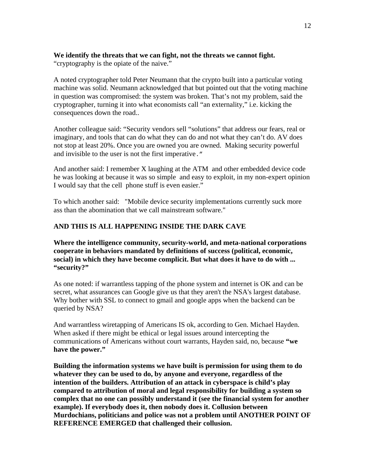# **We identify the threats that we can fight, not the threats we cannot fight.**

"cryptography is the opiate of the naive."

A noted cryptographer told Peter Neumann that the crypto built into a particular voting machine was solid. Neumann acknowledged that but pointed out that the voting machine in question was compromised: the system was broken. That's not my problem, said the cryptographer, turning it into what economists call "an externality," i.e. kicking the consequences down the road..

Another colleague said: "Security vendors sell "solutions" that address our fears, real or imaginary, and tools that can do what they can do and not what they can't do. AV does not stop at least 20%. Once you are owned you are owned. Making security powerful and invisible to the user is not the first imperative."

And another said: I remember X laughing at the ATM and other embedded device code he was looking at because it was so simple and easy to exploit, in my non-expert opinion I would say that the cell phone stuff is even easier."

To which another said: "Mobile device security implementations currently suck more ass than the abomination that we call mainstream software."

# **AND THIS IS ALL HAPPENING INSIDE THE DARK CAVE**

**Where the intelligence community, security-world, and meta-national corporations cooperate in behaviors mandated by definitions of success (political, economic, social) in which they have become complicit. But what does it have to do with ... "security?"**

As one noted: if warrantless tapping of the phone system and internet is OK and can be secret, what assurances can Google give us that they aren't the NSA's largest database. Why bother with SSL to connect to gmail and google apps when the backend can be queried by NSA?

And warrantless wiretapping of Americans IS ok, according to Gen. Michael Hayden. When asked if there might be ethical or legal issues around intercepting the communications of Americans without court warrants, Hayden said, no, because **"we have the power."**

**Building the information systems we have built is permission for using them to do whatever they can be used to do, by anyone and everyone, regardless of the intention of the builders. Attribution of an attack in cyberspace is child's play compared to attribution of moral and legal responsibility for building a system so complex that no one can possibly understand it (see the financial system for another example). If everybody does it, then nobody does it. Collusion between Murdochians, politicians and police was not a problem until ANOTHER POINT OF REFERENCE EMERGED that challenged their collusion.**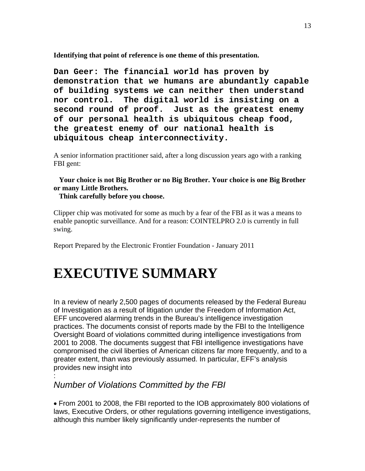**Identifying that point of reference is one theme of this presentation.**

**Dan Geer: The financial world has proven by demonstration that we humans are abundantly capable of building systems we can neither then understand nor control. The digital world is insisting on a second round of proof. Just as the greatest enemy of our personal health is ubiquitous cheap food, the greatest enemy of our national health is ubiquitous cheap interconnectivity.** 

A senior information practitioner said, after a long discussion years ago with a ranking FBI gent:

 **Your choice is not Big Brother or no Big Brother. Your choice is one Big Brother or many Little Brothers.** 

 **Think carefully before you choose.**

Clipper chip was motivated for some as much by a fear of the FBI as it was a means to enable panoptic surveillance. And for a reason: COINTELPRO 2.0 is currently in full swing.

Report Prepared by the Electronic Frontier Foundation - January 2011

# **EXECUTIVE SUMMARY**

In a review of nearly 2,500 pages of documents released by the Federal Bureau of Investigation as a result of litigation under the Freedom of Information Act, EFF uncovered alarming trends in the Bureau's intelligence investigation practices. The documents consist of reports made by the FBI to the Intelligence Oversight Board of violations committed during intelligence investigations from 2001 to 2008. The documents suggest that FBI intelligence investigations have compromised the civil liberties of American citizens far more frequently, and to a greater extent, than was previously assumed. In particular, EFF's analysis provides new insight into

# : *Number of Violations Committed by the FBI*

• From 2001 to 2008, the FBI reported to the IOB approximately 800 violations of laws, Executive Orders, or other regulations governing intelligence investigations, although this number likely significantly under-represents the number of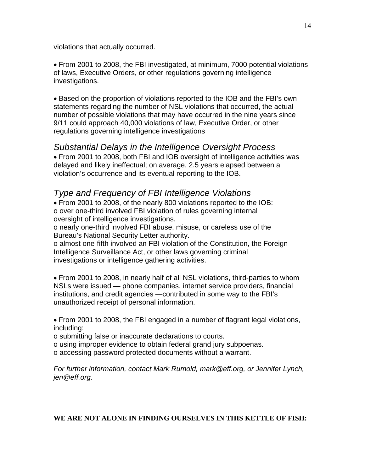violations that actually occurred.

• From 2001 to 2008, the FBI investigated, at minimum, 7000 potential violations of laws, Executive Orders, or other regulations governing intelligence investigations.

• Based on the proportion of violations reported to the IOB and the FBI's own statements regarding the number of NSL violations that occurred, the actual number of possible violations that may have occurred in the nine years since 9/11 could approach 40,000 violations of law, Executive Order, or other regulations governing intelligence investigations

# *Substantial Delays in the Intelligence Oversight Process*

• From 2001 to 2008, both FBI and IOB oversight of intelligence activities was delayed and likely ineffectual; on average, 2.5 years elapsed between a violation's occurrence and its eventual reporting to the IOB.

# *Type and Frequency of FBI Intelligence Violations*

• From 2001 to 2008, of the nearly 800 violations reported to the IOB: o over one-third involved FBI violation of rules governing internal oversight of intelligence investigations.

o nearly one-third involved FBI abuse, misuse, or careless use of the Bureau's National Security Letter authority.

o almost one-fifth involved an FBI violation of the Constitution, the Foreign Intelligence Surveillance Act, or other laws governing criminal investigations or intelligence gathering activities.

• From 2001 to 2008, in nearly half of all NSL violations, third-parties to whom NSLs were issued — phone companies, internet service providers, financial institutions, and credit agencies —contributed in some way to the FBI's unauthorized receipt of personal information.

• From 2001 to 2008, the FBI engaged in a number of flagrant legal violations, including:

o submitting false or inaccurate declarations to courts.

o using improper evidence to obtain federal grand jury subpoenas.

o accessing password protected documents without a warrant.

*For further information, contact Mark Rumold, mark@eff.org, or Jennifer Lynch, jen@eff.org.*

# **WE ARE NOT ALONE IN FINDING OURSELVES IN THIS KETTLE OF FISH:**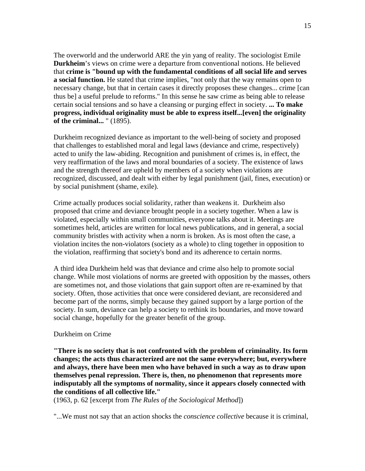The overworld and the underworld ARE the yin yang of reality. The sociologist Emile **Durkheim**'s views on crime were a departure from conventional notions. He believed that **crime is "bound up with the fundamental conditions of all social life and serves a social function.** He stated that crime implies, "not only that the way remains open to necessary change, but that in certain cases it directly proposes these changes... crime [can thus be] a useful prelude to reforms." In this sense he saw crime as being able to release certain social tensions and so have a cleansing or purging effect in society. **... To make progress, individual originality must be able to express itself...[even] the originality of the criminal...** " (1895).

Durkheim recognized deviance as important to the well-being of society and proposed that challenges to established moral and legal laws (deviance and crime, respectively) acted to unify the law-abiding. Recognition and punishment of crimes is, in effect, the very reaffirmation of the laws and moral boundaries of a society. The existence of laws and the strength thereof are upheld by members of a society when violations are recognized, discussed, and dealt with either by legal punishment (jail, fines, execution) or by social punishment (shame, exile).

Crime actually produces social solidarity, rather than weakens it. Durkheim also proposed that crime and deviance brought people in a society together. When a law is violated, especially within small communities, everyone talks about it. Meetings are sometimes held, articles are written for local news publications, and in general, a social community bristles with activity when a norm is broken. As is most often the case, a violation incites the non-violators (society as a whole) to cling together in opposition to the violation, reaffirming that society's bond and its adherence to certain norms.

A third idea Durkheim held was that deviance and crime also help to promote social change. While most violations of norms are greeted with opposition by the masses, others are sometimes not, and those violations that gain support often are re-examined by that society. Often, those activities that once were considered deviant, are reconsidered and become part of the norms, simply because they gained support by a large portion of the society. In sum, deviance can help a society to rethink its boundaries, and move toward social change, hopefully for the greater benefit of the group.

#### Durkheim on Crime

**"There is no society that is not confronted with the problem of criminality. Its form changes; the acts thus characterized are not the same everywhere; but, everywhere and always, there have been men who have behaved in such a way as to draw upon themselves penal repression. There is, then, no phenomenon that represents more indisputably all the symptoms of normality, since it appears closely connected with the conditions of all collective life."**

(1963, p. 62 [excerpt from *The Rules of the Sociological Method*])

"...We must not say that an action shocks the *conscience collective* because it is criminal,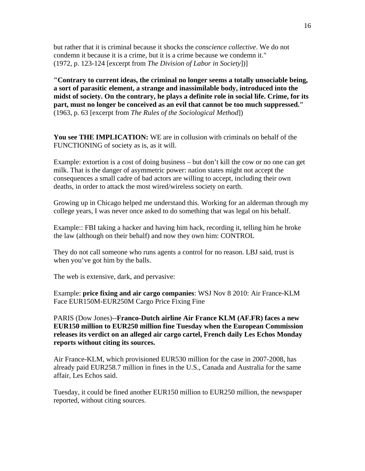but rather that it is criminal because it shocks the *conscience collective*. We do not condemn it because it is a crime, but it is a crime because we condemn it." (1972, p. 123-124 [excerpt from *The Division of Labor in Society*])]

**"Contrary to current ideas, the criminal no longer seems a totally unsociable being, a sort of parasitic element, a strange and inassimilable body, introduced into the midst of society. On the contrary, he plays a definite role in social life. Crime, for its part, must no longer be conceived as an evil that cannot be too much suppressed."** (1963, p. 63 [excerpt from *The Rules of the Sociological Method*])

**You see THE IMPLICATION:** WE are in collusion with criminals on behalf of the FUNCTIONING of society as is, as it will.

Example: extortion is a cost of doing business – but don't kill the cow or no one can get milk. That is the danger of asymmetric power: nation states might not accept the consequences a small cadre of bad actors are willing to accept, including their own deaths, in order to attack the most wired/wireless society on earth.

Growing up in Chicago helped me understand this. Working for an alderman through my college years, I was never once asked to do something that was legal on his behalf.

Example:: FBI taking a hacker and having him hack, recording it, telling him he broke the law (although on their behalf) and now they own him: CONTROL

They do not call someone who runs agents a control for no reason. LBJ said, trust is when you've got him by the balls.

The web is extensive, dark, and pervasive:

Example: **price fixing and air cargo companies**: WSJ Nov 8 2010: Air France-KLM Face EUR150M-EUR250M Cargo Price Fixing Fine

PARIS (Dow Jones)--**Franco-Dutch airline Air France KLM (AF.FR) faces a new EUR150 million to EUR250 million fine Tuesday when the European Commission releases its verdict on an alleged air cargo cartel, French daily Les Echos Monday reports without citing its sources.** 

Air France-KLM, which provisioned EUR530 million for the case in 2007-2008, has already paid EUR258.7 million in fines in the U.S., Canada and Australia for the same affair, Les Echos said.

Tuesday, it could be fined another EUR150 million to EUR250 million, the newspaper reported, without citing sources.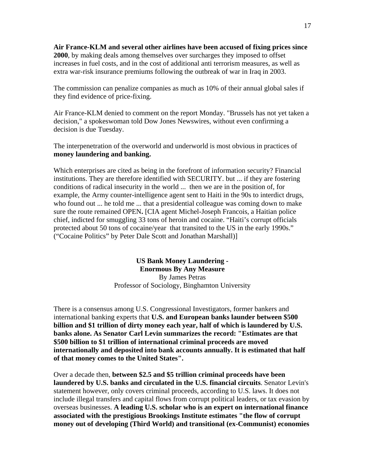#### **Air France-KLM and several other airlines have been accused of fixing prices since**

**2000**, by making deals among themselves over surcharges they imposed to offset increases in fuel costs, and in the cost of additional anti terrorism measures, as well as extra war-risk insurance premiums following the outbreak of war in Iraq in 2003.

The commission can penalize companies as much as 10% of their annual global sales if they find evidence of price-fixing.

Air France-KLM denied to comment on the report Monday. "Brussels has not yet taken a decision," a spokeswoman told Dow Jones Newswires, without even confirming a decision is due Tuesday.

The interpenetration of the overworld and underworld is most obvious in practices of **money laundering and banking.** 

Which enterprises are cited as being in the forefront of information security? Financial institutions. They are therefore identified with SECURITY. but ... if they are fostering conditions of radical insecurity in the world ... then we are in the position of, for example, the Army counter-intelligence agent sent to Haiti in the 90s to interdict drugs, who found out ... he told me ... that a presidential colleague was coming down to make sure the route remained OPEN**.** [CIA agent Michel-Joseph Francois, a Haitian police chief, indicted for smuggling 33 tons of heroin and cocaine. "Haiti's corrupt officials protected about 50 tons of cocaine/year that transited to the US in the early 1990s." ("Cocaine Politics" by Peter Dale Scott and Jonathan Marshall)]

> **US Bank Money Laundering - Enormous By Any Measure** By James Petras Professor of Sociology, Binghamton University

There is a consensus among U.S. Congressional Investigators, former bankers and international banking experts that **U.S. and European banks launder between \$500 billion and \$1 trillion of dirty money each year, half of which is laundered by U.S. banks alone. As Senator Carl Levin summarizes the record: "Estimates are that \$500 billion to \$1 trillion of international criminal proceeds are moved internationally and deposited into bank accounts annually. It is estimated that half of that money comes to the United States".**

Over a decade then, **between \$2.5 and \$5 trillion criminal proceeds have been laundered by U.S. banks and circulated in the U.S. financial circuits**. Senator Levin's statement however, only covers criminal proceeds, according to U.S. laws. It does not include illegal transfers and capital flows from corrupt political leaders, or tax evasion by overseas businesses. **A leading U.S. scholar who is an expert on international finance associated with the prestigious Brookings Institute estimates "the flow of corrupt money out of developing (Third World) and transitional (ex-Communist) economies**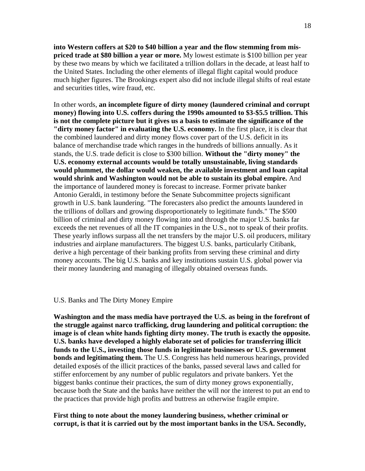**into Western coffers at \$20 to \$40 billion a year and the flow stemming from mispriced trade at \$80 billion a year or more.** My lowest estimate is \$100 billion per year by these two means by which we facilitated a trillion dollars in the decade, at least half to the United States. Including the other elements of illegal flight capital would produce much higher figures. The Brookings expert also did not include illegal shifts of real estate and securities titles, wire fraud, etc.

In other words, **an incomplete figure of dirty money (laundered criminal and corrupt money) flowing into U.S. coffers during the 1990s amounted to \$3-\$5.5 trillion. This is not the complete picture but it gives us a basis to estimate the significance of the "dirty money factor" in evaluating the U.S. economy.** In the first place, it is clear that the combined laundered and dirty money flows cover part of the U.S. deficit in its balance of merchandise trade which ranges in the hundreds of billions annually. As it stands, the U.S. trade deficit is close to \$300 billion. **Without the "dirty money" the U.S. economy external accounts would be totally unsustainable, living standards would plummet, the dollar would weaken, the available investment and loan capital would shrink and Washington would not be able to sustain its global empire.** And the importance of laundered money is forecast to increase. Former private banker Antonio Geraldi, in testimony before the Senate Subcommittee projects significant growth in U.S. bank laundering. "The forecasters also predict the amounts laundered in the trillions of dollars and growing disproportionately to legitimate funds." The \$500 billion of criminal and dirty money flowing into and through the major U.S. banks far exceeds the net revenues of all the IT companies in the U.S., not to speak of their profits. These yearly inflows surpass all the net transfers by the major U.S. oil producers, military industries and airplane manufacturers. The biggest U.S. banks, particularly Citibank, derive a high percentage of their banking profits from serving these criminal and dirty money accounts. The big U.S. banks and key institutions sustain U.S. global power via their money laundering and managing of illegally obtained overseas funds.

#### U.S. Banks and The Dirty Money Empire

**Washington and the mass media have portrayed the U.S. as being in the forefront of the struggle against narco trafficking, drug laundering and political corruption: the image is of clean white hands fighting dirty money. The truth is exactly the opposite. U.S. banks have developed a highly elaborate set of policies for transferring illicit funds to the U.S., investing those funds in legitimate businesses or U.S. government bonds and legitimating them.** The U.S. Congress has held numerous hearings, provided detailed exposés of the illicit practices of the banks, passed several laws and called for stiffer enforcement by any number of public regulators and private bankers. Yet the biggest banks continue their practices, the sum of dirty money grows exponentially, because both the State and the banks have neither the will nor the interest to put an end to the practices that provide high profits and buttress an otherwise fragile empire.

#### **First thing to note about the money laundering business, whether criminal or corrupt, is that it is carried out by the most important banks in the USA. Secondly,**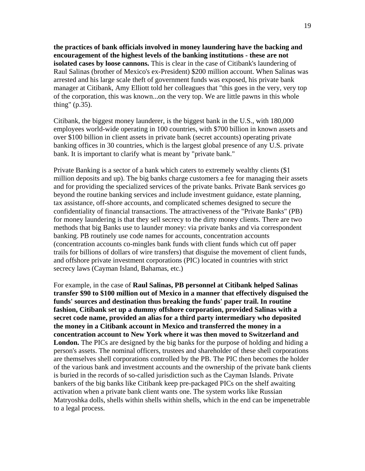**the practices of bank officials involved in money laundering have the backing and encouragement of the highest levels of the banking institutions - these are not isolated cases by loose cannons.** This is clear in the case of Citibank's laundering of Raul Salinas (brother of Mexico's ex-President) \$200 million account. When Salinas was arrested and his large scale theft of government funds was exposed, his private bank manager at Citibank, Amy Elliott told her colleagues that "this goes in the very, very top of the corporation, this was known...on the very top. We are little pawns in this whole thing" (p.35).

Citibank, the biggest money launderer, is the biggest bank in the U.S., with 180,000 employees world-wide operating in 100 countries, with \$700 billion in known assets and over \$100 billion in client assets in private bank (secret accounts) operating private banking offices in 30 countries, which is the largest global presence of any U.S. private bank. It is important to clarify what is meant by "private bank."

Private Banking is a sector of a bank which caters to extremely wealthy clients (\$1 million deposits and up). The big banks charge customers a fee for managing their assets and for providing the specialized services of the private banks. Private Bank services go beyond the routine banking services and include investment guidance, estate planning, tax assistance, off-shore accounts, and complicated schemes designed to secure the confidentiality of financial transactions. The attractiveness of the "Private Banks" (PB) for money laundering is that they sell secrecy to the dirty money clients. There are two methods that big Banks use to launder money: via private banks and via correspondent banking. PB routinely use code names for accounts, concentration accounts (concentration accounts co-mingles bank funds with client funds which cut off paper trails for billions of dollars of wire transfers) that disguise the movement of client funds, and offshore private investment corporations (PIC) located in countries with strict secrecy laws (Cayman Island, Bahamas, etc.)

For example, in the case of **Raul Salinas, PB personnel at Citibank helped Salinas transfer \$90 to \$100 million out of Mexico in a manner that effectively disguised the funds' sources and destination thus breaking the funds' paper trail. In routine fashion, Citibank set up a dummy offshore corporation, provided Salinas with a secret code name, provided an alias for a third party intermediary who deposited the money in a Citibank account in Mexico and transferred the money in a concentration account to New York where it was then moved to Switzerland and**  London. The PICs are designed by the big banks for the purpose of holding and hiding a person's assets. The nominal officers, trustees and shareholder of these shell corporations are themselves shell corporations controlled by the PB. The PIC then becomes the holder of the various bank and investment accounts and the ownership of the private bank clients is buried in the records of so-called jurisdiction such as the Cayman Islands. Private bankers of the big banks like Citibank keep pre-packaged PICs on the shelf awaiting activation when a private bank client wants one. The system works like Russian Matryoshka dolls, shells within shells within shells, which in the end can be impenetrable to a legal process.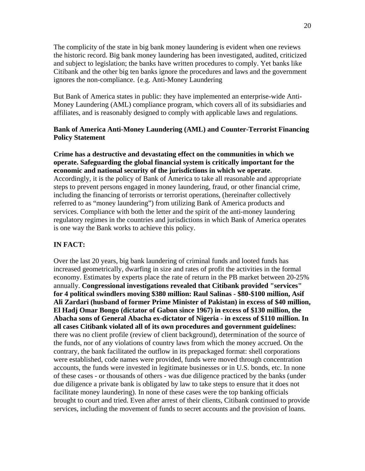The complicity of the state in big bank money laundering is evident when one reviews the historic record. Big bank money laundering has been investigated, audited, criticized and subject to legislation; the banks have written procedures to comply. Yet banks like Citibank and the other big ten banks ignore the procedures and laws and the government ignores the non-compliance. {e.g. Anti-Money Laundering

But Bank of America states in public: they have implemented an enterprise-wide Anti-Money Laundering (AML) compliance program, which covers all of its subsidiaries and affiliates, and is reasonably designed to comply with applicable laws and regulations.

## **Bank of America Anti-Money Laundering (AML) and Counter-Terrorist Financing Policy Statement**

**Crime has a destructive and devastating effect on the communities in which we operate. Safeguarding the global financial system is critically important for the economic and national security of the jurisdictions in which we operate**. Accordingly, it is the policy of Bank of America to take all reasonable and appropriate steps to prevent persons engaged in money laundering, fraud, or other financial crime, including the financing of terrorists or terrorist operations, (hereinafter collectively referred to as "money laundering") from utilizing Bank of America products and services. Compliance with both the letter and the spirit of the anti-money laundering regulatory regimes in the countries and jurisdictions in which Bank of America operates is one way the Bank works to achieve this policy.

#### **IN FACT:**

Over the last 20 years, big bank laundering of criminal funds and looted funds has increased geometrically, dwarfing in size and rates of profit the activities in the formal economy. Estimates by experts place the rate of return in the PB market between 20-25% annually. **Congressional investigations revealed that Citibank provided "services" for 4 political swindlers moving \$380 million: Raul Salinas - \$80-\$100 million, Asif Ali Zardari (husband of former Prime Minister of Pakistan) in excess of \$40 million, El Hadj Omar Bongo (dictator of Gabon since 1967) in excess of \$130 million, the Abacha sons of General Abacha ex-dictator of Nigeria - in excess of \$110 million. In all cases Citibank violated all of its own procedures and government guidelines:**  there was no client profile (review of client background), determination of the source of the funds, nor of any violations of country laws from which the money accrued. On the contrary, the bank facilitated the outflow in its prepackaged format: shell corporations were established, code names were provided, funds were moved through concentration accounts, the funds were invested in legitimate businesses or in U.S. bonds, etc. In none of these cases - or thousands of others - was due diligence practiced by the banks (under due diligence a private bank is obligated by law to take steps to ensure that it does not facilitate money laundering). In none of these cases were the top banking officials brought to court and tried. Even after arrest of their clients, Citibank continued to provide services, including the movement of funds to secret accounts and the provision of loans.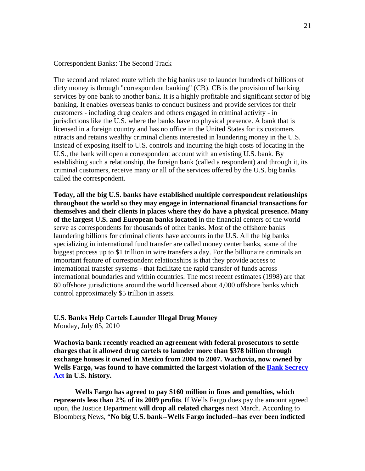Correspondent Banks: The Second Track

The second and related route which the big banks use to launder hundreds of billions of dirty money is through "correspondent banking" (CB). CB is the provision of banking services by one bank to another bank. It is a highly profitable and significant sector of big banking. It enables overseas banks to conduct business and provide services for their customers - including drug dealers and others engaged in criminal activity - in jurisdictions like the U.S. where the banks have no physical presence. A bank that is licensed in a foreign country and has no office in the United States for its customers attracts and retains wealthy criminal clients interested in laundering money in the U.S. Instead of exposing itself to U.S. controls and incurring the high costs of locating in the U.S., the bank will open a correspondent account with an existing U.S. bank. By establishing such a relationship, the foreign bank (called a respondent) and through it, its criminal customers, receive many or all of the services offered by the U.S. big banks called the correspondent.

**Today, all the big U.S. banks have established multiple correspondent relationships throughout the world so they may engage in international financial transactions for themselves and their clients in places where they do have a physical presence. Many of the largest U.S. and European banks located** in the financial centers of the world serve as correspondents for thousands of other banks. Most of the offshore banks laundering billions for criminal clients have accounts in the U.S. All the big banks specializing in international fund transfer are called money center banks, some of the biggest process up to \$1 trillion in wire transfers a day. For the billionaire criminals an important feature of correspondent relationships is that they provide access to international transfer systems - that facilitate the rapid transfer of funds across international boundaries and within countries. The most recent estimates (1998) are that 60 offshore jurisdictions around the world licensed about 4,000 offshore banks which control approximately \$5 trillion in assets.

# **U.S. Banks Help Cartels Launder Illegal Drug Money**

Monday, July 05, 2010

**Wachovia bank recently reached an agreement with federal prosecutors to settle charges that it allowed drug cartels to launder more than \$378 billion through exchange houses it owned in Mexico from 2004 to 2007. Wachovia, now owned by Wells Fargo, was found to have committed the largest violation of the [Bank Secrecy](http://www.fincen.gov/statutes_regs/bsa/)  [Act](http://www.fincen.gov/statutes_regs/bsa/) in U.S. history.**

**Wells Fargo has agreed to pay \$160 million in fines and penalties, which represents less than 2% of its 2009 profits**. If Wells Fargo does pay the amount agreed upon, the Justice Department **will drop all related charges** next March. According to Bloomberg News, "**No big U.S. bank--Wells Fargo included--has ever been indicted**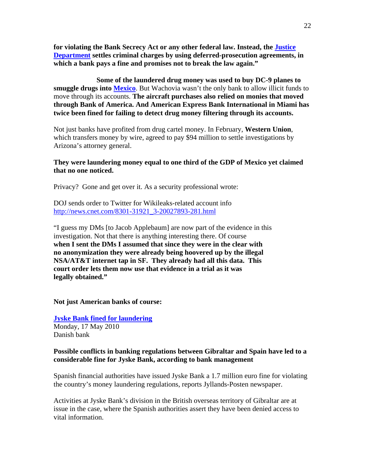**for violating the Bank Secrecy Act or any other federal law. Instead, the [Justice](http://www.allgov.com/Agency/Department_of_Justice)  [Department](http://www.allgov.com/Agency/Department_of_Justice) settles criminal charges by using deferred-prosecution agreements, in which a bank pays a fine and promises not to break the law again."**

**Some of the laundered drug money was used to buy DC-9 planes to smuggle drugs into [Mexico](http://www.allgov.com/nation/Mexico)**. But Wachovia wasn't the only bank to allow illicit funds to move through its accounts. **The aircraft purchases also relied on monies that moved through Bank of America. And American Express Bank International in Miami has twice been fined for failing to detect drug money filtering through its accounts.**

Not just banks have profited from drug cartel money. In February, **Western Union**, which transfers money by wire, agreed to pay \$94 million to settle investigations by Arizona's attorney general.

#### **They were laundering money equal to one third of the GDP of Mexico yet claimed that no one noticed.**

Privacy? Gone and get over it. As a security professional wrote:

DOJ sends order to Twitter for Wikileaks-related account info [http://news.cnet.com/8301-31921\\_3-20027893-281.html](http://news.cnet.com/8301-31921_3-20027893-281.html)

"I guess my DMs [to Jacob Applebaum] are now part of the evidence in this investigation. Not that there is anything interesting there. Of course **when I sent the DMs I assumed that since they were in the clear with no anonymization they were already being hoovered up by the illegal NSA/AT&T internet tap in SF. They already had all this data. This court order lets them now use that evidence in a trial as it was legally obtained."**

**Not just American banks of course:**

**[Jyske Bank fined for laundering](http://www.cphpost.dk/business/119-business/48986-jyske-bank-fined-for-laundering.html)**  Monday, 17 May 2010 Danish bank

#### **Possible conflicts in banking regulations between Gibraltar and Spain have led to a considerable fine for Jyske Bank, according to bank management**

Spanish financial authorities have issued Jyske Bank a 1.7 million euro fine for violating the country's money laundering regulations, reports Jyllands-Posten newspaper.

Activities at Jyske Bank's division in the British overseas territory of Gibraltar are at issue in the case, where the Spanish authorities assert they have been denied access to vital information.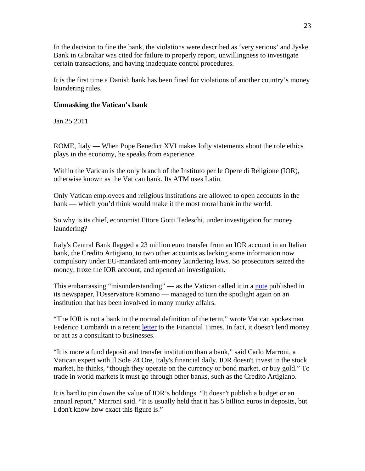In the decision to fine the bank, the violations were described as 'very serious' and Jyske Bank in Gibraltar was cited for failure to properly report, unwillingness to investigate certain transactions, and having inadequate control procedures.

It is the first time a Danish bank has been fined for violations of another country's money laundering rules.

# **Unmasking the Vatican's bank**

Jan 25 2011

ROME, Italy — When Pope Benedict XVI makes lofty statements about the role ethics plays in the economy, he speaks from experience.

Within the Vatican is the only branch of the Instituto per le Opere di Religione (IOR), otherwise known as the Vatican bank. Its ATM uses Latin.

Only Vatican employees and religious institutions are allowed to open accounts in the bank — which you'd think would make it the most moral bank in the world.

So why is its chief, economist Ettore Gotti Tedeschi, under investigation for money laundering?

Italy's Central Bank flagged a 23 million euro transfer from an IOR account in an Italian bank, the Credito Artigiano, to two other accounts as lacking some information now compulsory under EU-mandated anti-money laundering laws. So prosecutors seized the money, froze the IOR account, and opened an investigation.

This embarrassing "misunderstanding" — as the Vatican called it in a [note](http://www.agensir.it/pls/sir/v2_s2doc_b.rss?id_oggetto=201041) published in its newspaper, l'Osservatore Romano — managed to turn the spotlight again on an institution that has been involved in many murky affairs.

"The IOR is not a bank in the normal definition of the term," wrote Vatican spokesman Federico Lombardi in a recent [letter](http://www.radiovaticana.org/en1/Articolo.asp?c=424861) to the Financial Times. In fact, it doesn't lend money or act as a consultant to businesses.

"It is more a fund deposit and transfer institution than a bank," said Carlo Marroni, a Vatican expert with Il Sole 24 Ore, Italy's financial daily. IOR doesn't invest in the stock market, he thinks, "though they operate on the currency or bond market, or buy gold." To trade in world markets it must go through other banks, such as the Credito Artigiano.

It is hard to pin down the value of IOR's holdings. "It doesn't publish a budget or an annual report," Marroni said. "It is usually held that it has 5 billion euros in deposits, but I don't know how exact this figure is."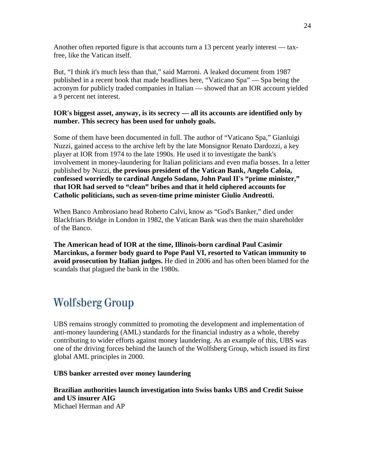Another often reported figure is that accounts turn a 13 percent yearly interest — taxfree, like the Vatican itself.

But, "I think it's much less than that," said Marroni. A leaked document from 1987 published in a recent book that made headlines here, "Vaticano Spa" — Spa being the acronym for publicly traded companies in Italian — showed that an IOR account yielded a 9 percent net interest.

#### **IOR's biggest asset, anyway, is its secrecy — all its accounts are identified only by number. This secrecy has been used for unholy goals.**

Some of them have been documented in full. The author of "Vaticano Spa," Gianluigi Nuzzi, gained access to the archive left by the late Monsignor Renato Dardozzi, a key player at IOR from 1974 to the late 1990s. He used it to investigate the bank's involvement in money-laundering for Italian politicians and even mafia bosses. In a letter published by Nuzzi, **the previous president of the Vatican Bank, Angelo Caloia, confessed worriedly to cardinal Angelo Sodano, John Paul II's "prime minister," that IOR had served to "clean" bribes and that it held ciphered accounts for Catholic politicians, such as seven-time prime minister Giulio Andreotti.**

When Banco Ambrosiano head Roberto Calvi, know as "God's Banker," died under Blackfriars Bridge in London in 1982, the Vatican Bank was then the main shareholder of the Banco.

**The American head of IOR at the time, Illinois-born cardinal Paul Casimir Marcinkus, a former body guard to Pope Paul VI, resorted to Vatican immunity to avoid prosecution by Italian judges.** He died in 2006 and has often been blamed for the scandals that plagued the bank in the 1980s.

# **Wolfsberg Group**

UBS remains strongly committed to promoting the development and implementation of anti-money laundering (AML) standards for the financial industry as a whole, thereby contributing to wider efforts against money laundering. As an example of this, UBS was one of the driving forces behind the launch of the Wolfsberg Group, which issued its first global AML principles in 2000.

**UBS banker arrested over money laundering**

#### **Brazilian authorities launch investigation into Swiss banks UBS and Credit Suisse and US insurer AIG** Michael Herman and AP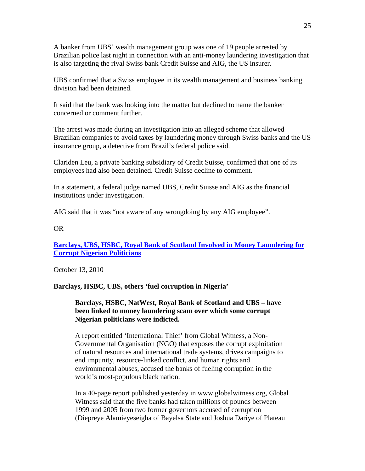A banker from UBS' wealth management group was one of 19 people arrested by Brazilian police last night in connection with an anti-money laundering investigation that is also targeting the rival Swiss bank Credit Suisse and AIG, the US insurer.

UBS confirmed that a Swiss employee in its wealth management and business banking division had been detained.

It said that the bank was looking into the matter but declined to name the banker concerned or comment further.

The arrest was made during an investigation into an alleged scheme that allowed Brazilian companies to avoid taxes by laundering money through Swiss banks and the US insurance group, a detective from Brazil's federal police said.

Clariden Leu, a private banking subsidiary of Credit Suisse, confirmed that one of its employees had also been detained. Credit Suisse decline to comment.

In a statement, a federal judge named UBS, Credit Suisse and AIG as the financial institutions under investigation.

AIG said that it was "not aware of any wrongdoing by any AIG employee".

OR

**[Barclays, UBS, HSBC, Royal Bank of Scotland Involved in Money Laundering for](http://publicintelligence.net/barclays-ubs-hsbc-royal-bank-of-scotland-involved-in-money-laundering-for-corrupt-nigerian-politicians/)  [Corrupt Nigerian Politicians](http://publicintelligence.net/barclays-ubs-hsbc-royal-bank-of-scotland-involved-in-money-laundering-for-corrupt-nigerian-politicians/)**

October 13, 2010

**Barclays, HSBC, UBS, others 'fuel corruption in Nigeria'** 

**Barclays, HSBC, NatWest, Royal Bank of Scotland and UBS – have been linked to money laundering scam over which some corrupt Nigerian politicians were indicted.**

A report entitled 'International Thief' from Global Witness, a Non-Governmental Organisation (NGO) that exposes the corrupt exploitation of natural resources and international trade systems, drives campaigns to end impunity, resource-linked conflict, and human rights and environmental abuses, accused the banks of fueling corruption in the world's most-populous black nation.

In a 40-page report published yesterday in www.globalwitness.org, Global Witness said that the five banks had taken millions of pounds between 1999 and 2005 from two former governors accused of corruption (Diepreye Alamieyeseigha of Bayelsa State and Joshua Dariye of Plateau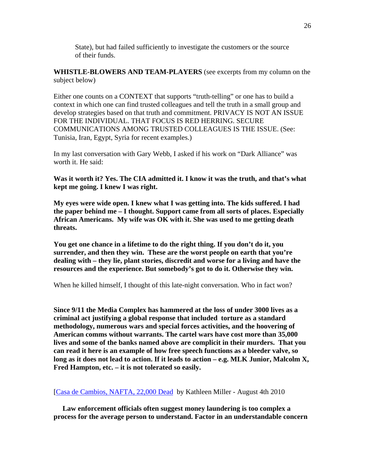State), but had failed sufficiently to investigate the customers or the source of their funds.

**WHISTLE-BLOWERS AND TEAM-PLAYERS** (see excerpts from my column on the subject below)

Either one counts on a CONTEXT that supports "truth-telling" or one has to build a context in which one can find trusted colleagues and tell the truth in a small group and develop strategies based on that truth and commitment. PRIVACY IS NOT AN ISSUE FOR THE INDIVIDUAL. THAT FOCUS IS RED HERRING. SECURE COMMUNICATIONS AMONG TRUSTED COLLEAGUES IS THE ISSUE. (See: Tunisia, Iran, Egypt, Syria for recent examples.)

In my last conversation with Gary Webb, I asked if his work on "Dark Alliance" was worth it. He said:

**Was it worth it? Yes. The CIA admitted it. I know it was the truth, and that's what kept me going. I knew I was right.** 

**My eyes were wide open. I knew what I was getting into. The kids suffered. I had the paper behind me – I thought. Support came from all sorts of places. Especially African Americans. My wife was OK with it. She was used to me getting death threats.**

**You get one chance in a lifetime to do the right thing. If you don't do it, you surrender, and then they win. These are the worst people on earth that you're dealing with – they lie, plant stories, discredit and worse for a living and have the resources and the experience. But somebody's got to do it. Otherwise they win.**

When he killed himself, I thought of this late-night conversation. Who in fact won?

**Since 9/11 the Media Complex has hammered at the loss of under 3000 lives as a criminal act justifying a global response that included torture as a standard methodology, numerous wars and special forces activities, and the hoovering of American comms without warrants. The cartel wars have cost more than 35,000 lives and some of the banks named above are complicit in their murders. That you can read it here is an example of how free speech functions as a bleeder valve, so long as it does not lead to action. If it leads to action – e.g. MLK Junior, Malcolm X, Fred Hampton, etc. – it is not tolerated so easily.**

[\[Casa de Cambios, NAFTA, 22,000 Dead](http://globalorganizedcrime.foreignpolicyblogs.com/2010/08/04/casa-de-cambios-nafta-22000-dead/) by Kathleen Miller - August 4th 2010

 **Law enforcement officials often suggest money laundering is too complex a process for the average person to understand. Factor in an understandable concern**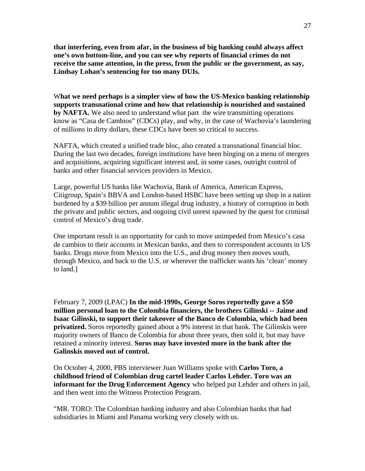**that interfering, even from afar, in the business of big banking could always affect one's own bottom-line, and you can see why reports of financial crimes do not receive the same attention, in the press, from the public or the government, as say, Lindsay Lohan's sentencing for too many DUIs.** 

W**hat we need perhaps is a simpler view of how the US-Mexico banking relationship supports transnational crime and how that relationship is nourished and sustained by NAFTA.** We also need to understand what part the wire transmitting operations know as "Casa de Cambios" (CDCs) play, and why, in the case of Wachovia's laundering of millions in dirty dollars, these CDCs have been so critical to success.

NAFTA, which created a unified trade bloc, also created a transnational financial bloc. During the last two decades, foreign institutions have been binging on a menu of mergers and acquisitions, acquiring significant interest and, in some cases, outright control of banks and other financial services providers in Mexico.

Large, powerful US banks like Wachovia, Bank of America, American Express, Citigroup, Spain's BBVA and London-based HSBC have been setting up shop in a nation burdened by a \$39 billion per annum illegal drug industry, a history of corruption in both the private and public sectors, and ongoing civil unrest spawned by the quest for criminal control of Mexico's drug trade.

One important result is an opportunity for cash to move unimpeded from Mexico's casa de cambios to their accounts in Mexican banks, and then to correspondent accounts in US banks. Drugs move from Mexico into the U.S., and drug money then moves south, through Mexico, and back to the U.S. or wherever the trafficker wants his 'clean' money to land.]

February 7, 2009 (LPAC) **In the mid-1990s, George Soros reportedly gave a \$50 million personal loan to the Colombia financiers, the brothers Gilinski -- Jaime and Isaac Gilinski, to support their takeover of the Banco de Colombia, which had been privatized.** Soros reportedly gained about a 9% interest in that bank. The Gilinskis were majority owners of Banco de Colombia for about three years, then sold it, but may have retained a minority interest. **Soros may have invested more in the bank after the Galinskis moved out of control.**

On October 4, 2000, PBS interviewer Juan Williams spoke with **Carlos Toro, a childhood friend of Colombian drug cartel leader Carlos Lehder. Toro was an informant for the Drug Enforcement Agency** who helped put Lehder and others in jail, and then went into the Witness Protection Program.

"MR. TORO: The Colombian banking industry and also Colombian banks that had subsidiaries in Miami and Panama working very closely with us.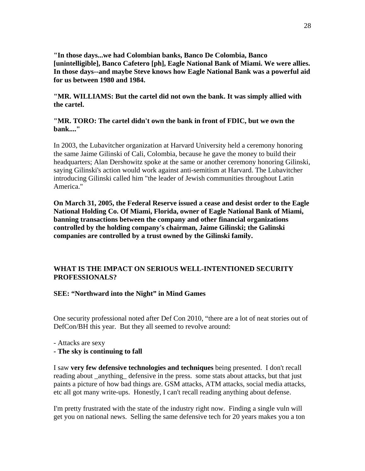**"In those days...we had Colombian banks, Banco De Colombia, Banco [unintelligible], Banco Cafetero [ph], Eagle National Bank of Miami. We were allies. In those days--and maybe Steve knows how Eagle National Bank was a powerful aid for us between 1980 and 1984.**

**"MR. WILLIAMS: But the cartel did not own the bank. It was simply allied with the cartel.**

## **"MR. TORO: The cartel didn't own the bank in front of FDIC, but we own the bank...."**

In 2003, the Lubavitcher organization at Harvard University held a ceremony honoring the same Jaime Gilinski of Cali, Colombia, because he gave the money to build their headquarters; Alan Dershowitz spoke at the same or another ceremony honoring Gilinski, saying Gilinski's action would work against anti-semitism at Harvard. The Lubavitcher introducing Gilinski called him "the leader of Jewish communities throughout Latin America."

**On March 31, 2005, the Federal Reserve issued a cease and desist order to the Eagle National Holding Co. Of Miami, Florida, owner of Eagle National Bank of Miami, banning transactions between the company and other financial organizations controlled by the holding company's chairman, Jaime Gilinski; the Galinski companies are controlled by a trust owned by the Gilinski family.**

# **WHAT IS THE IMPACT ON SERIOUS WELL-INTENTIONED SECURITY PROFESSIONALS?**

# **SEE: "Northward into the Night" in Mind Games**

One security professional noted after Def Con 2010, "there are a lot of neat stories out of DefCon/BH this year. But they all seemed to revolve around:

- Attacks are sexy
- **- The sky is continuing to fall**

I saw **very few defensive technologies and techniques** being presented. I don't recall reading about \_anything\_ defensive in the press. some stats about attacks, but that just paints a picture of how bad things are. GSM attacks, ATM attacks, social media attacks, etc all got many write-ups. Honestly, I can't recall reading anything about defense.

I'm pretty frustrated with the state of the industry right now. Finding a single vuln will get you on national news. Selling the same defensive tech for 20 years makes you a ton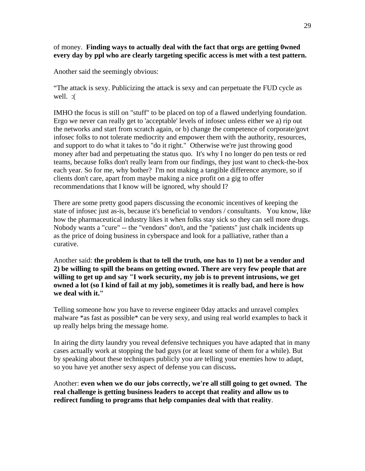of money. **Finding ways to actually deal with the fact that orgs are getting 0wned every day by ppl who are clearly targeting specific access is met with a test pattern.**

Another said the seemingly obvious:

"The attack is sexy. Publicizing the attack is sexy and can perpetuate the FUD cycle as well. :(

IMHO the focus is still on "stuff" to be placed on top of a flawed underlying foundation. Ergo we never can really get to 'acceptable' levels of infosec unless either we a) rip out the networks and start from scratch again, or b) change the competence of corporate/govt infosec folks to not tolerate mediocrity and empower them with the authority, resources, and support to do what it takes to "do it right." Otherwise we're just throwing good money after bad and perpetuating the status quo. It's why I no longer do pen tests or red teams, because folks don't really learn from our findings, they just want to check-the-box each year. So for me, why bother? I'm not making a tangible difference anymore, so if clients don't care, apart from maybe making a nice profit on a gig to offer recommendations that I know will be ignored, why should I?

There are some pretty good papers discussing the economic incentives of keeping the state of infosec just as-is, because it's beneficial to vendors / consultants. You know, like how the pharmaceutical industry likes it when folks stay sick so they can sell more drugs. Nobody wants a "cure" -- the "vendors" don't, and the "patients" just chalk incidents up as the price of doing business in cyberspace and look for a palliative, rather than a curative.

Another said: **the problem is that to tell the truth, one has to 1) not be a vendor and 2) be willing to spill the beans on getting owned. There are very few people that are willing to get up and say "I work security, my job is to prevent intrusions, we get owned a lot (so I kind of fail at my job), sometimes it is really bad, and here is how we deal with it."**

Telling someone how you have to reverse engineer 0day attacks and unravel complex malware \*as fast as possible\* can be very sexy, and using real world examples to back it up really helps bring the message home.

In airing the dirty laundry you reveal defensive techniques you have adapted that in many cases actually work at stopping the bad guys (or at least some of them for a while). But by speaking about these techniques publicly you are telling your enemies how to adapt, so you have yet another sexy aspect of defense you can discuss**.**

Another: **even when we do our jobs correctly, we're all still going to get owned. The real challenge is getting business leaders to accept that reality and allow us to redirect funding to programs that help companies deal with that reality**.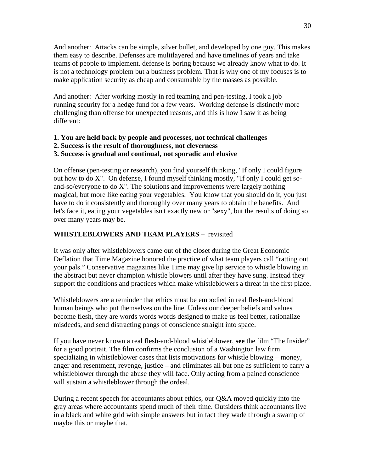And another:Attacks can be simple, silver bullet, and developed by one guy. This makes them easy to describe. Defenses are mulitlayered and have timelines of years and take teams of people to implement. defense is boring because we already know what to do. It is not a technology problem but a business problem. That is why one of my focuses is to make application security as cheap and consumable by the masses as possible.

And another: After working mostly in red teaming and pen-testing, I took a job running security for a hedge fund for a few years. Working defense is distinctly more challenging than offense for unexpected reasons, and this is how I saw it as being different:

#### **1. You are held back by people and processes, not technical challenges**

**2. Success is the result of thoroughness, not cleverness**

#### **3. Success is gradual and continual, not sporadic and elusive**

On offense (pen-testing or research), you find yourself thinking, "If only I could figure out how to do X". On defense, I found myself thinking mostly, "If only I could get soand-so/everyone to do X". The solutions and improvements were largely nothing magical, but more like eating your vegetables. You know that you should do it, you just have to do it consistently and thoroughly over many years to obtain the benefits. And let's face it, eating your vegetables isn't exactly new or "sexy", but the results of doing so over many years may be.

#### **WHISTLEBLOWERS AND TEAM PLAYERS** – revisited

It was only after whistleblowers came out of the closet during the Great Economic Deflation that Time Magazine honored the practice of what team players call "ratting out your pals." Conservative magazines like Time may give lip service to whistle blowing in the abstract but never champion whistle blowers until after they have sung. Instead they support the conditions and practices which make whistleblowers a threat in the first place.

Whistleblowers are a reminder that ethics must be embodied in real flesh-and-blood human beings who put themselves on the line. Unless our deeper beliefs and values become flesh, they are words words words designed to make us feel better, rationalize misdeeds, and send distracting pangs of conscience straight into space.

If you have never known a real flesh-and-blood whistleblower, **see** the film "The Insider" for a good portrait. The film confirms the conclusion of a Washington law firm specializing in whistleblower cases that lists motivations for whistle blowing – money, anger and resentment, revenge, justice – and eliminates all but one as sufficient to carry a whistleblower through the abuse they will face. Only acting from a pained conscience will sustain a whistleblower through the ordeal.

During a recent speech for accountants about ethics, our Q&A moved quickly into the gray areas where accountants spend much of their time. Outsiders think accountants live in a black and white grid with simple answers but in fact they wade through a swamp of maybe this or maybe that.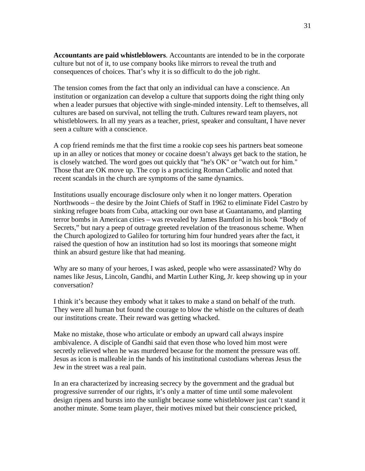**Accountants are paid whistleblowers**. Accountants are intended to be in the corporate culture but not of it, to use company books like mirrors to reveal the truth and consequences of choices. That's why it is so difficult to do the job right.

The tension comes from the fact that only an individual can have a conscience. An institution or organization can develop a culture that supports doing the right thing only when a leader pursues that objective with single-minded intensity. Left to themselves, all cultures are based on survival, not telling the truth. Cultures reward team players, not whistleblowers. In all my years as a teacher, priest, speaker and consultant, I have never seen a culture with a conscience.

A cop friend reminds me that the first time a rookie cop sees his partners beat someone up in an alley or notices that money or cocaine doesn't always get back to the station, he is closely watched. The word goes out quickly that "he's OK" or "watch out for him." Those that are OK move up. The cop is a practicing Roman Catholic and noted that recent scandals in the church are symptoms of the same dynamics.

Institutions usually encourage disclosure only when it no longer matters. Operation Northwoods – the desire by the Joint Chiefs of Staff in 1962 to eliminate Fidel Castro by sinking refugee boats from Cuba, attacking our own base at Guantanamo, and planting terror bombs in American cities – was revealed by James Bamford in his book "Body of Secrets," but nary a peep of outrage greeted revelation of the treasonous scheme. When the Church apologized to Galileo for torturing him four hundred years after the fact, it raised the question of how an institution had so lost its moorings that someone might think an absurd gesture like that had meaning.

Why are so many of your heroes, I was asked, people who were assassinated? Why do names like Jesus, Lincoln, Gandhi, and Martin Luther King, Jr. keep showing up in your conversation?

I think it's because they embody what it takes to make a stand on behalf of the truth. They were all human but found the courage to blow the whistle on the cultures of death our institutions create. Their reward was getting whacked.

Make no mistake, those who articulate or embody an upward call always inspire ambivalence. A disciple of Gandhi said that even those who loved him most were secretly relieved when he was murdered because for the moment the pressure was off. Jesus as icon is malleable in the hands of his institutional custodians whereas Jesus the Jew in the street was a real pain.

In an era characterized by increasing secrecy by the government and the gradual but progressive surrender of our rights, it's only a matter of time until some malevolent design ripens and bursts into the sunlight because some whistleblower just can't stand it another minute. Some team player, their motives mixed but their conscience pricked,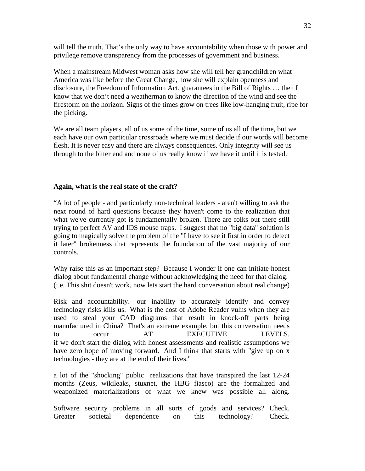will tell the truth. That's the only way to have accountability when those with power and privilege remove transparency from the processes of government and business.

When a mainstream Midwest woman asks how she will tell her grandchildren what America was like before the Great Change, how she will explain openness and disclosure, the Freedom of Information Act, guarantees in the Bill of Rights … then I know that we don't need a weatherman to know the direction of the wind and see the firestorm on the horizon. Signs of the times grow on trees like low-hanging fruit, ripe for the picking.

We are all team players, all of us some of the time, some of us all of the time, but we each have our own particular crossroads where we must decide if our words will become flesh. It is never easy and there are always consequences. Only integrity will see us through to the bitter end and none of us really know if we have it until it is tested.

#### **Again, what is the real state of the craft?**

"A lot of people - and particularly non-technical leaders - aren't willing to ask the next round of hard questions because they haven't come to the realization that what we've currently got is fundamentally broken. There are folks out there still trying to perfect AV and IDS mouse traps. I suggest that no "big data" solution is going to magically solve the problem of the "I have to see it first in order to detect it later" brokenness that represents the foundation of the vast majority of our controls.

Why raise this as an important step? Because I wonder if one can initiate honest dialog about fundamental change without acknowledging the need for that dialog. (i.e. This shit doesn't work, now lets start the hard conversation about real change)

Risk and accountability. our inability to accurately identify and convey technology risks kills us. What is the cost of Adobe Reader vulns when they are used to steal your CAD diagrams that result in knock-off parts being manufactured in China? That's an extreme example, but this conversation needs to occur AT EXECUTIVE LEVELS. if we don't start the dialog with honest assessments and realistic assumptions we have zero hope of moving forward. And I think that starts with "give up on x technologies - they are at the end of their lives."

a lot of the "shocking" public realizations that have transpired the last 12-24 months (Zeus, wikileaks, stuxnet, the HBG fiasco) are the formalized and weaponized materializations of what we knew was possible all along.

Software security problems in all sorts of goods and services? Check. Greater societal dependence on this technology? Check.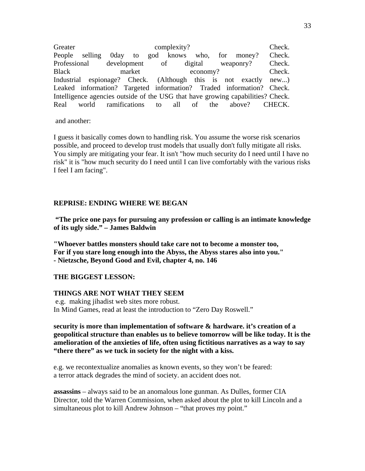Greater complexity? Check. People selling 0day to god knows who, for money? Check. Professional development of digital weaponry? Check. Black market economy? Check. Industrial espionage? Check. (Although this is not exactly new...) Leaked information? Targeted information? Traded information? Check. Intelligence agencies outside of the USG that have growing capabilities? Check. Real world ramifications to all of the above? CHECK.

and another:

I guess it basically comes down to handling risk. You assume the worse risk scenarios possible, and proceed to develop trust models that usually don't fully mitigate all risks. You simply are mitigating your fear. It isn't "how much security do I need until I have no risk" it is "how much security do I need until I can live comfortably with the various risks I feel I am facing".

#### **REPRISE: ENDING WHERE WE BEGAN**

**"The price one pays for pursuing any profession or calling is an intimate knowledge of its ugly side." – James Baldwin**

**"Whoever battles monsters should take care not to become a monster too, For if you stare long enough into the Abyss, the Abyss stares also into you." - Nietzsche, Beyond Good and Evil, chapter 4, no. 146**

#### **THE BIGGEST LESSON:**

#### **THINGS ARE NOT WHAT THEY SEEM**

e.g. making jihadist web sites more robust. In Mind Games, read at least the introduction to "Zero Day Roswell."

**security is more than implementation of software & hardware. it's creation of a geopolitical structure than enables us to believe tomorrow will be like today. It is the amelioration of the anxieties of life, often using fictitious narratives as a way to say "there there" as we tuck in society for the night with a kiss.** 

e.g. we recontextualize anomalies as known events, so they won't be feared: a terror attack degrades the mind of society. an accident does not.

**assassins** – always said to be an anomalous lone gunman. As Dulles, former CIA Director, told the Warren Commission, when asked about the plot to kill Lincoln and a simultaneous plot to kill Andrew Johnson – "that proves my point."